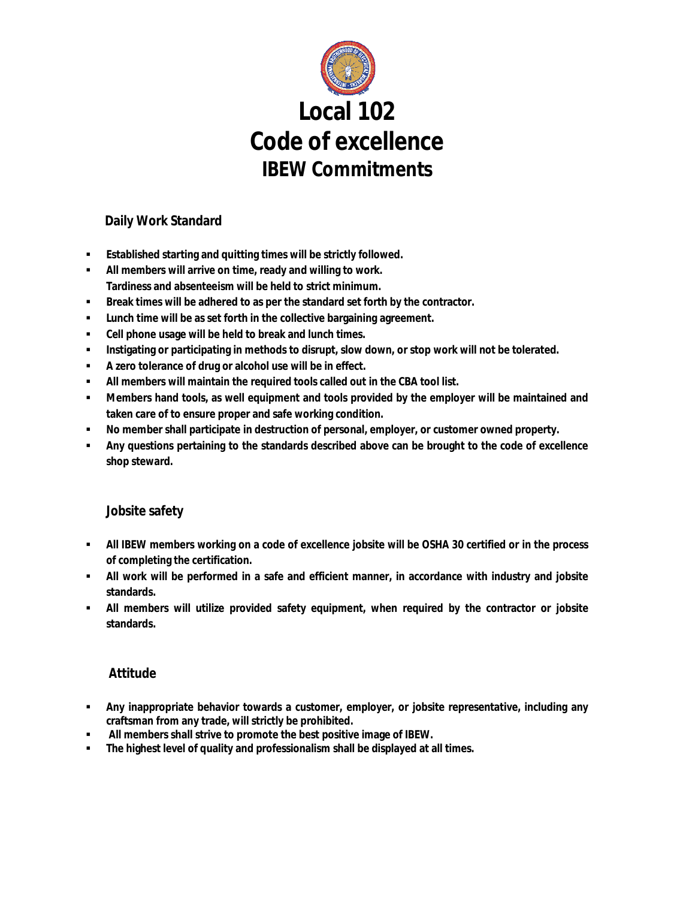

## **Daily Work Standard**

- **Established starting and quitting times will be strictly followed.**
- **All members will arrive on time, ready and willing to work. Tardiness and absenteeism will be held to strict minimum.**
- **Break times will be adhered to as per the standard set forth by the contractor.**
- **Lunch time will be as set forth in the collective bargaining agreement.**
- **Cell phone usage will be held to break and lunch times.**
- **Instigating or participating in methods to disrupt, slow down, or stop work will not be tolerated.**
- **A zero tolerance of drug or alcohol use will be in effect.**
- **All members will maintain the required tools called out in the CBA tool list.**
- **Members hand tools, as well equipment and tools provided by the employer will be maintained and taken care of to ensure proper and safe working condition.**
- **No member shall participate in destruction of personal, employer, or customer owned property.**
- **Any questions pertaining to the standards described above can be brought to the code of excellence shop steward.**

## **Jobsite safety**

- **All IBEW members working on a code of excellence jobsite will be OSHA 30 certified or in the process of completing the certification.**
- **All work will be performed in a safe and efficient manner, in accordance with industry and jobsite standards.**
- **All members will utilize provided safety equipment, when required by the contractor or jobsite standards.**

## **Attitude**

- **Any inappropriate behavior towards a customer, employer, or jobsite representative, including any craftsman from any trade, will strictly be prohibited.**
- **All members shall strive to promote the best positive image of IBEW.**
- **The highest level of quality and professionalism shall be displayed at all times.**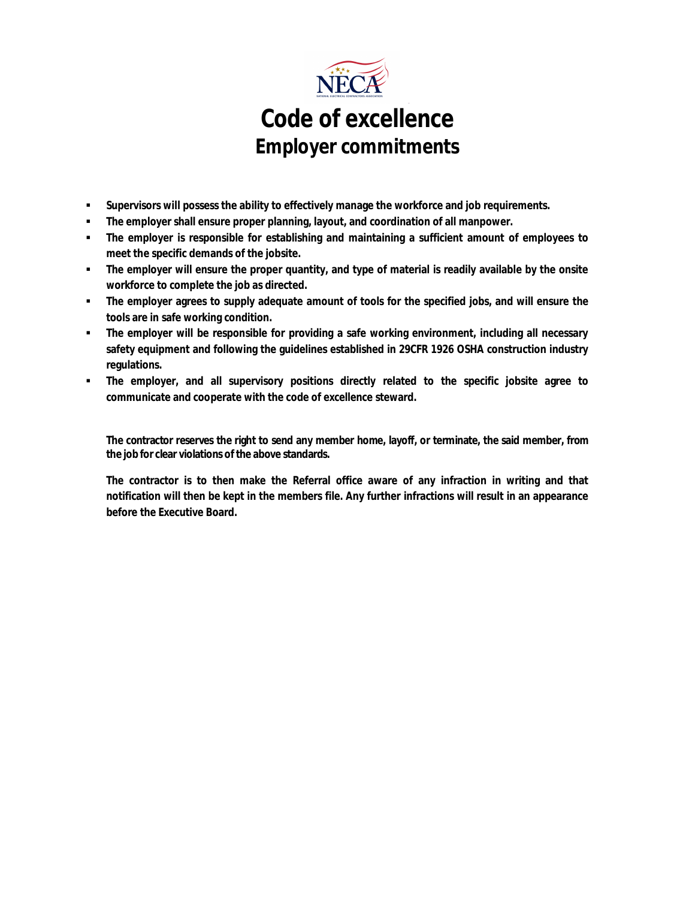

- **Supervisors will possess the ability to effectively manage the workforce and job requirements.**
- **The employer shall ensure proper planning, layout, and coordination of all manpower.**
- **The employer is responsible for establishing and maintaining a sufficient amount of employees to meet the specific demands of the jobsite.**
- **The employer will ensure the proper quantity, and type of material is readily available by the onsite workforce to complete the job as directed.**
- **The employer agrees to supply adequate amount of tools for the specified jobs, and will ensure the tools are in safe working condition.**
- **The employer will be responsible for providing a safe working environment, including all necessary safety equipment and following the guidelines established in 29CFR 1926 OSHA construction industry regulations.**
- **The employer, and all supervisory positions directly related to the specific jobsite agree to communicate and cooperate with the code of excellence steward.**

**The contractor reserves the right to send any member home, layoff, or terminate, the said member, from the job for clear violations of the above standards.** 

**The contractor is to then make the Referral office aware of any infraction in writing and that notification will then be kept in the members file. Any further infractions will result in an appearance before the Executive Board.**